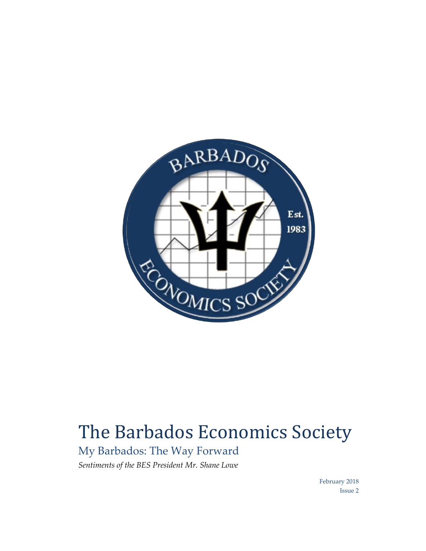

# The Barbados Economics Society

My Barbados: The Way Forward *Sentiments of the BES President Mr. Shane Lowe* 

> February 2018 Issue 2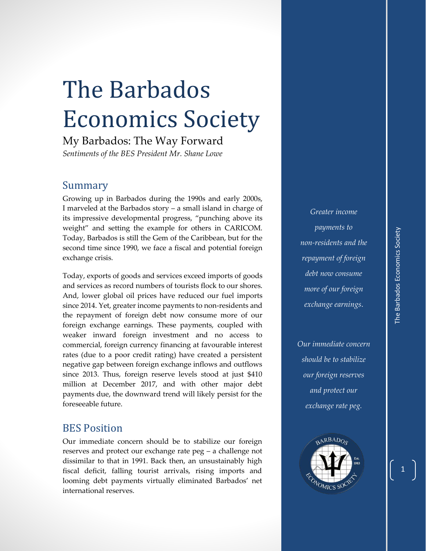1

# The Barbados Economics Society

My Barbados: The Way Forward *Sentiments of the BES President Mr. Shane Lowe* 

### Summary

Growing up in Barbados during the 1990s and early 2000s, I marveled at the Barbados story – a small island in charge of its impressive developmental progress, "punching above its weight" and setting the example for others in CARICOM. Today, Barbados is still the Gem of the Caribbean, but for the second time since 1990, we face a fiscal and potential foreign exchange crisis.

Today, exports of goods and services exceed imports of goods and services as record numbers of tourists flock to our shores. And, lower global oil prices have reduced our fuel imports since 2014. Yet, greater income payments to non-residents and the repayment of foreign debt now consume more of our foreign exchange earnings. These payments, coupled with weaker inward foreign investment and no access to commercial, foreign currency financing at favourable interest rates (due to a poor credit rating) have created a persistent negative gap between foreign exchange inflows and outflows since 2013. Thus, foreign reserve levels stood at just \$410 million at December 2017, and with other major debt payments due, the downward trend will likely persist for the foreseeable future.

## BES Position

Our immediate concern should be to stabilize our foreign reserves and protect our exchange rate peg – a challenge not dissimilar to that in 1991. Back then, an unsustainably high fiscal deficit, falling tourist arrivals, rising imports and looming debt payments virtually eliminated Barbados' net international reserves.

*Greater income payments to non-residents and the repayment of foreign debt now consume more of our foreign exchange earnings*.

*Our immediate concern should be to stabilize our foreign reserves and protect our exchange rate peg.*

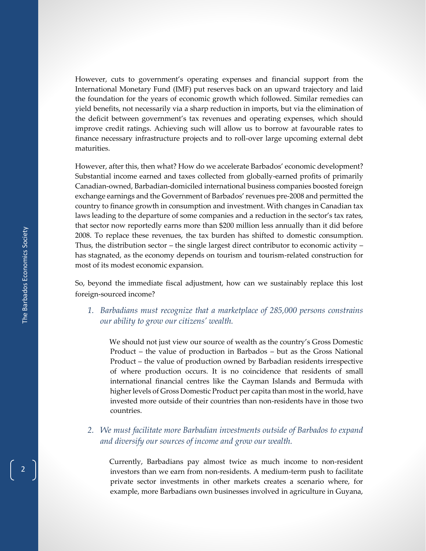However, cuts to government's operating expenses and financial support from the International Monetary Fund (IMF) put reserves back on an upward trajectory and laid the foundation for the years of economic growth which followed. Similar remedies can yield benefits, not necessarily via a sharp reduction in imports, but via the elimination of the deficit between government's tax revenues and operating expenses, which should improve credit ratings. Achieving such will allow us to borrow at favourable rates to finance necessary infrastructure projects and to roll-over large upcoming external debt maturities.

However, after this, then what? How do we accelerate Barbados' economic development? Substantial income earned and taxes collected from globally-earned profits of primarily Canadian-owned, Barbadian-domiciled international business companies boosted foreign exchange earnings and the Government of Barbados' revenues pre-2008 and permitted the country to finance growth in consumption and investment. With changes in Canadian tax laws leading to the departure of some companies and a reduction in the sector's tax rates, that sector now reportedly earns more than \$200 million less annually than it did before 2008. To replace these revenues, the tax burden has shifted to domestic consumption. Thus, the distribution sector – the single largest direct contributor to economic activity – has stagnated, as the economy depends on tourism and tourism-related construction for most of its modest economic expansion.

So, beyond the immediate fiscal adjustment, how can we sustainably replace this lost foreign-sourced income?

*1. Barbadians must recognize that a marketplace of 285,000 persons constrains our ability to grow our citizens' wealth.* 

 We should not just view our source of wealth as the country's Gross Domestic Product – the value of production in Barbados – but as the Gross National Product – the value of production owned by Barbadian residents irrespective of where production occurs. It is no coincidence that residents of small international financial centres like the Cayman Islands and Bermuda with higher levels of Gross Domestic Product per capita than most in the world, have invested more outside of their countries than non-residents have in those two countries.

#### *2. We must facilitate more Barbadian investments outside of Barbados to expand and diversify our sources of income and grow our wealth.*

 Currently, Barbadians pay almost twice as much income to non-resident investors than we earn from non-residents. A medium-term push to facilitate private sector investments in other markets creates a scenario where, for example, more Barbadians own businesses involved in agriculture in Guyana,